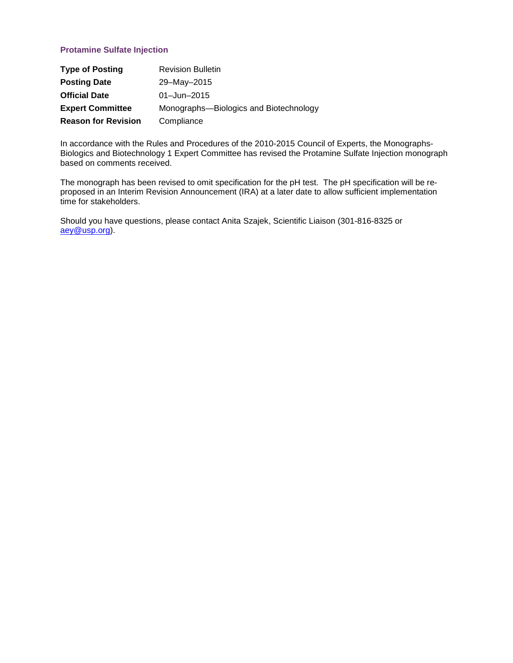# **Protamine Sulfate Injection**

| <b>Type of Posting</b>     | <b>Revision Bulletin</b>               |
|----------------------------|----------------------------------------|
| <b>Posting Date</b>        | 29-May-2015                            |
| <b>Official Date</b>       | $01 - Jun - 2015$                      |
| <b>Expert Committee</b>    | Monographs-Biologics and Biotechnology |
| <b>Reason for Revision</b> | Compliance                             |

In accordance with the Rules and Procedures of the 2010-2015 Council of Experts, the Monographs-Biologics and Biotechnology 1 Expert Committee has revised the Protamine Sulfate Injection monograph based on comments received.

The monograph has been revised to omit specification for the pH test. The pH specification will be reproposed in an Interim Revision Announcement (IRA) at a later date to allow sufficient implementation time for stakeholders.

Should you have questions, please contact Anita Szajek, Scientific Liaison (301-816-8325 or [aey@usp.org\)](mailto:aey@usp.org).